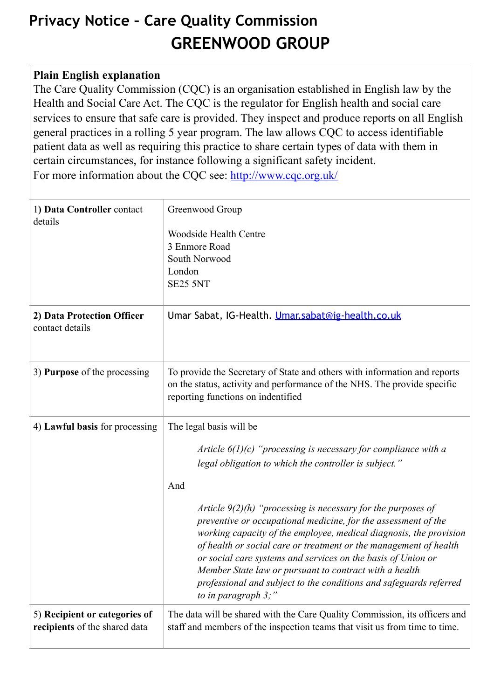## **Privacy Notice – Care Quality Commission GREENWOOD GROUP**

## **Plain English explanation**

The Care Quality Commission (CQC) is an organisation established in English law by the Health and Social Care Act. The CQC is the regulator for English health and social care services to ensure that safe care is provided. They inspect and produce reports on all English general practices in a rolling 5 year program. The law allows CQC to access identifiable patient data as well as requiring this practice to share certain types of data with them in certain circumstances, for instance following a significant safety incident. For more information about the CQC see: <http://www.cqc.org.uk/>

| 1) Data Controller contact<br>details                          | Greenwood Group<br><b>Woodside Health Centre</b><br>3 Enmore Road<br>South Norwood<br>London<br><b>SE25 5NT</b>                                                                                                                                                                                                                                                       |
|----------------------------------------------------------------|-----------------------------------------------------------------------------------------------------------------------------------------------------------------------------------------------------------------------------------------------------------------------------------------------------------------------------------------------------------------------|
| 2) Data Protection Officer<br>contact details                  | Umar Sabat, IG-Health. Umar.sabat@ig-health.co.uk                                                                                                                                                                                                                                                                                                                     |
| 3) Purpose of the processing                                   | To provide the Secretary of State and others with information and reports<br>on the status, activity and performance of the NHS. The provide specific<br>reporting functions on indentified                                                                                                                                                                           |
| 4) Lawful basis for processing                                 | The legal basis will be<br>Article $6(1)(c)$ "processing is necessary for compliance with a<br>legal obligation to which the controller is subject."<br>And<br>Article $9(2)(h)$ "processing is necessary for the purposes of<br>preventive or occupational medicine, for the assessment of the<br>working capacity of the employee, medical diagnosis, the provision |
|                                                                | of health or social care or treatment or the management of health<br>or social care systems and services on the basis of Union or<br>Member State law or pursuant to contract with a health<br>professional and subject to the conditions and safeguards referred<br>to in paragraph $3$ ;"                                                                           |
| 5) Recipient or categories of<br>recipients of the shared data | The data will be shared with the Care Quality Commission, its officers and<br>staff and members of the inspection teams that visit us from time to time.                                                                                                                                                                                                              |